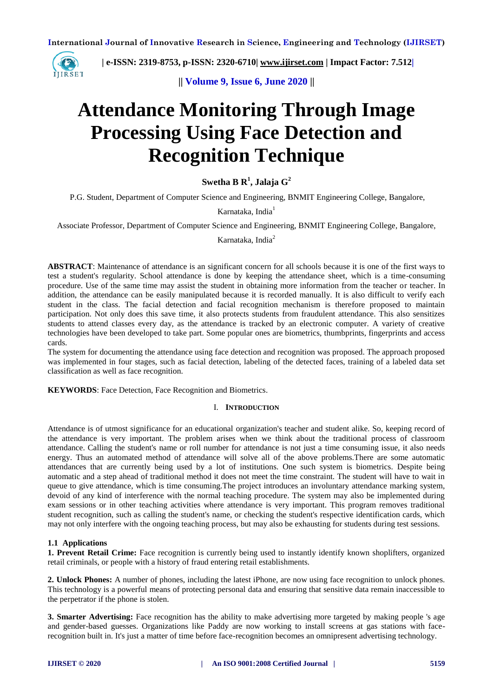

 **| e-ISSN: 2319-8753, p-ISSN: 2320-6710| [www.ijirset.com](http://www.ijirset.com/) | Impact Factor: 7.512|**

**|| Volume 9, Issue 6, June 2020 ||** 

# **Attendance Monitoring Through Image Processing Using Face Detection and Recognition Technique**

**Swetha B R<sup>1</sup> , Jalaja G<sup>2</sup>**

P.G. Student, Department of Computer Science and Engineering, BNMIT Engineering College, Bangalore,

Karnataka, India<sup>1</sup>

Associate Professor, Department of Computer Science and Engineering, BNMIT Engineering College, Bangalore,

Karnataka, India<sup>2</sup>

**ABSTRACT**: Maintenance of attendance is an significant concern for all schools because it is one of the first ways to test a student's regularity. School attendance is done by keeping the attendance sheet, which is a time-consuming procedure. Use of the same time may assist the student in obtaining more information from the teacher or teacher. In addition, the attendance can be easily manipulated because it is recorded manually. It is also difficult to verify each student in the class. The facial detection and facial recognition mechanism is therefore proposed to maintain participation. Not only does this save time, it also protects students from fraudulent attendance. This also sensitizes students to attend classes every day, as the attendance is tracked by an electronic computer. A variety of creative technologies have been developed to take part. Some popular ones are biometrics, thumbprints, fingerprints and access cards.

The system for documenting the attendance using face detection and recognition was proposed. The approach proposed was implemented in four stages, such as facial detection, labeling of the detected faces, training of a labeled data set classification as well as face recognition.

**KEYWORDS**: Face Detection, Face Recognition and Biometrics.

#### I. **INTRODUCTION**

Attendance is of utmost significance for an educational organization's teacher and student alike. So, keeping record of the attendance is very important. The problem arises when we think about the traditional process of classroom attendance. Calling the student's name or roll number for attendance is not just a time consuming issue, it also needs energy. Thus an automated method of attendance will solve all of the above problems.There are some automatic attendances that are currently being used by a lot of institutions. One such system is biometrics. Despite being automatic and a step ahead of traditional method it does not meet the time constraint. The student will have to wait in queue to give attendance, which is time consuming.The project introduces an involuntary attendance marking system, devoid of any kind of interference with the normal teaching procedure. The system may also be implemented during exam sessions or in other teaching activities where attendance is very important. This program removes traditional student recognition, such as calling the student's name, or checking the student's respective identification cards, which may not only interfere with the ongoing teaching process, but may also be exhausting for students during test sessions.

#### **1.1 Applications**

**1. Prevent Retail Crime:** Face recognition is currently being used to instantly identify known shoplifters, organized retail criminals, or people with a history of fraud entering retail establishments.

**2. Unlock Phones:** A number of phones, including the latest iPhone, are now using face recognition to unlock phones. This technology is a powerful means of protecting personal data and ensuring that sensitive data remain inaccessible to the perpetrator if the phone is stolen.

**3. Smarter Advertising:** Face recognition has the ability to make advertising more targeted by making people 's age and gender-based guesses. Organizations like Paddy are now working to install screens at gas stations with facerecognition built in. It's just a matter of time before face-recognition becomes an omnipresent advertising technology.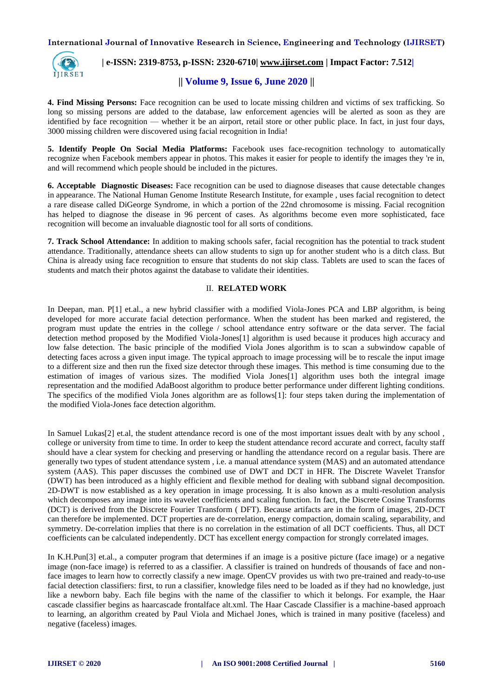

# **| e-ISSN: 2319-8753, p-ISSN: 2320-6710| [www.ijirset.com](http://www.ijirset.com/) | Impact Factor: 7.512|**

# **|| Volume 9, Issue 6, June 2020 ||**

**4. Find Missing Persons:** Face recognition can be used to locate missing children and victims of sex trafficking. So long so missing persons are added to the database, law enforcement agencies will be alerted as soon as they are identified by face recognition — whether it be an airport, retail store or other public place. In fact, in just four days, 3000 missing children were discovered using facial recognition in India!

**5. Identify People On Social Media Platforms:** Facebook uses face-recognition technology to automatically recognize when Facebook members appear in photos. This makes it easier for people to identify the images they 're in, and will recommend which people should be included in the pictures.

**6. Acceptable Diagnostic Diseases:** Face recognition can be used to diagnose diseases that cause detectable changes in appearance. The National Human Genome Institute Research Institute, for example , uses facial recognition to detect a rare disease called DiGeorge Syndrome, in which a portion of the 22nd chromosome is missing. Facial recognition has helped to diagnose the disease in 96 percent of cases. As algorithms become even more sophisticated, face recognition will become an invaluable diagnostic tool for all sorts of conditions.

**7. Track School Attendance:** In addition to making schools safer, facial recognition has the potential to track student attendance. Traditionally, attendance sheets can allow students to sign up for another student who is a ditch class. But China is already using face recognition to ensure that students do not skip class. Tablets are used to scan the faces of students and match their photos against the database to validate their identities.

# II. **RELATED WORK**

In Deepan, man. P[1] et.al., a new hybrid classifier with a modified Viola-Jones PCA and LBP algorithm, is being developed for more accurate facial detection performance. When the student has been marked and registered, the program must update the entries in the college / school attendance entry software or the data server. The facial detection method proposed by the Modified Viola-Jones[1] algorithm is used because it produces high accuracy and low false detection. The basic principle of the modified Viola Jones algorithm is to scan a subwindow capable of detecting faces across a given input image. The typical approach to image processing will be to rescale the input image to a different size and then run the fixed size detector through these images. This method is time consuming due to the estimation of images of various sizes. The modified Viola Jones[1] algorithm uses both the integral image representation and the modified AdaBoost algorithm to produce better performance under different lighting conditions. The specifics of the modified Viola Jones algorithm are as follows[1]: four steps taken during the implementation of the modified Viola-Jones face detection algorithm.

In Samuel Lukas[2] et.al, the student attendance record is one of the most important issues dealt with by any school , college or university from time to time. In order to keep the student attendance record accurate and correct, faculty staff should have a clear system for checking and preserving or handling the attendance record on a regular basis. There are generally two types of student attendance system , i.e. a manual attendance system (MAS) and an automated attendance system (AAS). This paper discusses the combined use of DWT and DCT in HFR. The Discrete Wavelet Transfor (DWT) has been introduced as a highly efficient and flexible method for dealing with subband signal decomposition. 2D-DWT is now established as a key operation in image processing. It is also known as a multi-resolution analysis which decomposes any image into its wavelet coefficients and scaling function. In fact, the Discrete Cosine Transforms (DCT) is derived from the Discrete Fourier Transform ( DFT). Because artifacts are in the form of images, 2D-DCT can therefore be implemented. DCT properties are de-correlation, energy compaction, domain scaling, separability, and symmetry. De-correlation implies that there is no correlation in the estimation of all DCT coefficients. Thus, all DCT coefficients can be calculated independently. DCT has excellent energy compaction for strongly correlated images.

In K.H.Pun[3] et.al., a computer program that determines if an image is a positive picture (face image) or a negative image (non-face image) is referred to as a classifier. A classifier is trained on hundreds of thousands of face and nonface images to learn how to correctly classify a new image. OpenCV provides us with two pre-trained and ready-to-use facial detection classifiers: first, to run a classifier, knowledge files need to be loaded as if they had no knowledge, just like a newborn baby. Each file begins with the name of the classifier to which it belongs. For example, the Haar cascade classifier begins as haarcascade frontalface alt.xml. The Haar Cascade Classifier is a machine-based approach to learning, an algorithm created by Paul Viola and Michael Jones, which is trained in many positive (faceless) and negative (faceless) images.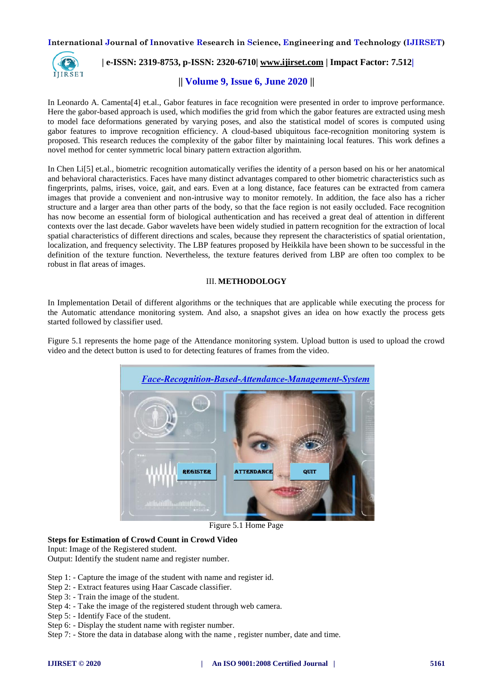

# **| e-ISSN: 2319-8753, p-ISSN: 2320-6710| [www.ijirset.com](http://www.ijirset.com/) | Impact Factor: 7.512|**

# **|| Volume 9, Issue 6, June 2020 ||**

In Leonardo A. Camenta[4] et.al., Gabor features in face recognition were presented in order to improve performance. Here the gabor-based approach is used, which modifies the grid from which the gabor features are extracted using mesh to model face deformations generated by varying poses, and also the statistical model of scores is computed using gabor features to improve recognition efficiency. A cloud-based ubiquitous face-recognition monitoring system is proposed. This research reduces the complexity of the gabor filter by maintaining local features. This work defines a novel method for center symmetric local binary pattern extraction algorithm.

In Chen Li[5] et.al., biometric recognition automatically verifies the identity of a person based on his or her anatomical and behavioral characteristics. Faces have many distinct advantages compared to other biometric characteristics such as fingerprints, palms, irises, voice, gait, and ears. Even at a long distance, face features can be extracted from camera images that provide a convenient and non-intrusive way to monitor remotely. In addition, the face also has a richer structure and a larger area than other parts of the body, so that the face region is not easily occluded. Face recognition has now become an essential form of biological authentication and has received a great deal of attention in different contexts over the last decade. Gabor wavelets have been widely studied in pattern recognition for the extraction of local spatial characteristics of different directions and scales, because they represent the characteristics of spatial orientation, localization, and frequency selectivity. The LBP features proposed by Heikkila have been shown to be successful in the definition of the texture function. Nevertheless, the texture features derived from LBP are often too complex to be robust in flat areas of images.

# III. **METHODOLOGY**

In Implementation Detail of different algorithms or the techniques that are applicable while executing the process for the Automatic attendance monitoring system. And also, a snapshot gives an idea on how exactly the process gets started followed by classifier used.

Figure 5.1 represents the home page of the Attendance monitoring system. Upload button is used to upload the crowd video and the detect button is used to for detecting features of frames from the video.



Figure 5.1 Home Page

# **Steps for Estimation of Crowd Count in Crowd Video**

Input: Image of the Registered student.

Output: Identify the student name and register number.

- Step 1: Capture the image of the student with name and register id.
- Step 2: Extract features using Haar Cascade classifier.
- Step 3: Train the image of the student.
- Step 4: Take the image of the registered student through web camera.
- Step 5: Identify Face of the student.
- Step 6: Display the student name with register number.
- Step 7: Store the data in database along with the name , register number, date and time.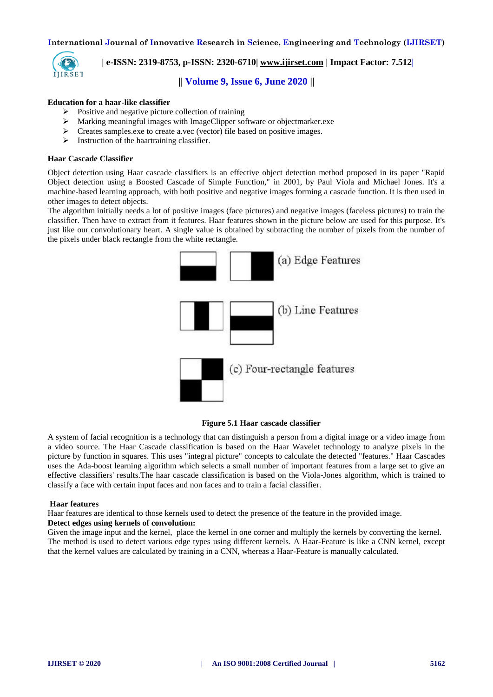

 **| e-ISSN: 2319-8753, p-ISSN: 2320-6710| [www.ijirset.com](http://www.ijirset.com/) | Impact Factor: 7.512|**

# **|| Volume 9, Issue 6, June 2020 ||**

### **Education for a haar-like classifier**

- $\triangleright$  Positive and negative picture collection of training
- Marking meaningful images with ImageClipper software or objectmarker.exe
- Creates samples.exe to create a.vec (vector) file based on positive images.
- $\triangleright$  Instruction of the haartraining classifier.

### **Haar Cascade Classifier**

Object detection using Haar cascade classifiers is an effective object detection method proposed in its paper "Rapid Object detection using a Boosted Cascade of Simple Function," in 2001, by Paul Viola and Michael Jones. It's a machine-based learning approach, with both positive and negative images forming a cascade function. It is then used in other images to detect objects.

The algorithm initially needs a lot of positive images (face pictures) and negative images (faceless pictures) to train the classifier. Then have to extract from it features. Haar features shown in the picture below are used for this purpose. It's just like our convolutionary heart. A single value is obtained by subtracting the number of pixels from the number of the pixels under black rectangle from the white rectangle.





A system of facial recognition is a technology that can distinguish a person from a digital image or a video image from a video source. The Haar Cascade classification is based on the Haar Wavelet technology to analyze pixels in the picture by function in squares. This uses "integral picture" concepts to calculate the detected "features." Haar Cascades uses the Ada-boost learning algorithm which selects a small number of important features from a large set to give an effective classifiers' results.The haar cascade classification is based on the Viola-Jones algorithm, which is trained to classify a face with certain input faces and non faces and to train a facial classifier.

#### **Haar features**

Haar features are identical to those kernels used to detect the presence of the feature in the provided image.

#### **Detect edges using kernels of convolution:**

Given the image input and the kernel, place the kernel in one corner and multiply the kernels by converting the kernel. The method is used to detect various edge types using different kernels. A Haar-Feature is like a CNN kernel, except that the kernel values are calculated by training in a CNN, whereas a Haar-Feature is manually calculated.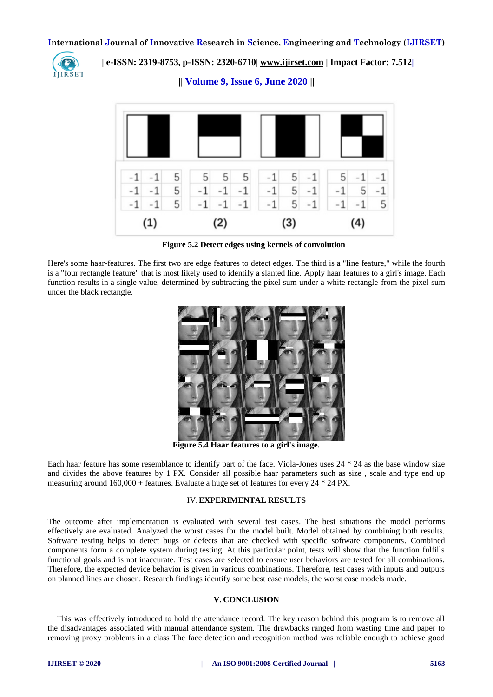

 **| e-ISSN: 2319-8753, p-ISSN: 2320-6710| [www.ijirset.com](http://www.ijirset.com/) | Impact Factor: 7.512|**

**|| Volume 9, Issue 6, June 2020 ||** 



**Figure 5.2 Detect edges using kernels of convolution**

Here's some haar-features. The first two are edge features to detect edges. The third is a "line feature," while the fourth is a "four rectangle feature" that is most likely used to identify a slanted line. Apply haar features to a girl's image. Each function results in a single value, determined by subtracting the pixel sum under a white rectangle from the pixel sum under the black rectangle.



**Figure 5.4 Haar features to a girl's image.**

Each haar feature has some resemblance to identify part of the face. Viola-Jones uses 24 \* 24 as the base window size and divides the above features by 1 PX. Consider all possible haar parameters such as size , scale and type end up measuring around 160,000 + features. Evaluate a huge set of features for every 24 \* 24 PX.

## IV.**EXPERIMENTAL RESULTS**

The outcome after implementation is evaluated with several test cases. The best situations the model performs effectively are evaluated. Analyzed the worst cases for the model built. Model obtained by combining both results. Software testing helps to detect bugs or defects that are checked with specific software components. Combined components form a complete system during testing. At this particular point, tests will show that the function fulfills functional goals and is not inaccurate. Test cases are selected to ensure user behaviors are tested for all combinations. Therefore, the expected device behavior is given in various combinations. Therefore, test cases with inputs and outputs on planned lines are chosen. Research findings identify some best case models, the worst case models made.

#### **V. CONCLUSION**

This was effectively introduced to hold the attendance record. The key reason behind this program is to remove all the disadvantages associated with manual attendance system. The drawbacks ranged from wasting time and paper to removing proxy problems in a class The face detection and recognition method was reliable enough to achieve good